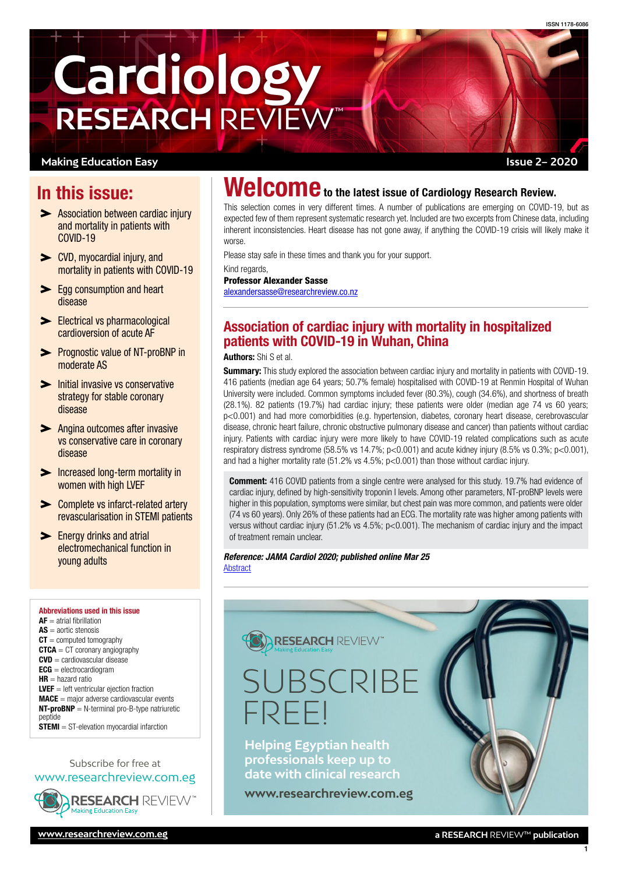**Issue 2– 2020**



#### **Making Education Easy**

# In this issue:

- **Association between cardiac injury** and mortality in patients with COVID-19
- [CVD, myocardial injury, and](#page-1-0)  [mortality in patients with COVID-19](#page-1-0)
- **Egg consumption and heart** [disease](#page-2-0)
- Electrical vs pharmacological [cardioversion of acute AF](#page-2-0)
- **>** Prognostic value of NT-proBNP in [moderate AS](#page-2-0)
- Initial invasive vs conservative [strategy for stable coronary](#page-2-0)  [disease](#page-2-0)
- **Angina outcomes after invasive** [vs conservative care in coronary](#page-3-0)  [disease](#page-3-0)
- [Increased long-term mortality in](#page-3-0)  [women with high LVEF](#page-3-0)
- **EXECOMPLE 2015** Complete vs infarct-related artery [revascularisation in STEMI patients](#page-3-0)
- **Energy drinks and atrial** [electromechanical function in](#page-3-0)  [young adults](#page-3-0)

Abbreviations used in this issue  $AF =$  atrial fibrillation  $AS =$ aortic stenosis  $CT =$  computed tomography  $CTCA = CT$  coronary angiography  $CVD =$  cardiovascular disease  $ECG =$  electrocardiogram  $HR =$  hazard ratio  $LVEF = left$  ventricular ejection fraction  $MACE =$  major adverse cardiovascular events  $NT-proBNP = N-terminal pro-B-type$  natriuretic peptide STEMI = ST-elevation myocardial infarction

#### Subscribe for free at [www.researchreview.com.eg](http://www.researchreview.com.eg)



# Welcome to the latest issue of Cardiology Research Review.

This selection comes in very different times. A number of publications are emerging on COVID-19, but as expected few of them represent systematic research yet. Included are two excerpts from Chinese data, including inherent inconsistencies. Heart disease has not gone away, if anything the COVID-19 crisis will likely make it worse.

Please stay safe in these times and thank you for your support.

Kind regards Professor Alexander Sasse [alexandersasse@researchreview.co.nz](mailto:alexandersasse%40researchreview.co.nz?subject=)

# Association of cardiac injury with mortality in hospitalized patients with COVID-19 in Wuhan, China

Authors: Shi S et al.

**Summary:** This study explored the association between cardiac injury and mortality in patients with COVID-19. 416 patients (median age 64 years; 50.7% female) hospitalised with COVID-19 at Renmin Hospital of Wuhan University were included. Common symptoms included fever (80.3%), cough (34.6%), and shortness of breath (28.1%). 82 patients (19.7%) had cardiac injury; these patients were older (median age 74 vs 60 years; p<0.001) and had more comorbidities (e.g. hypertension, diabetes, coronary heart disease, cerebrovascular disease, chronic heart failure, chronic obstructive pulmonary disease and cancer) than patients without cardiac injury. Patients with cardiac injury were more likely to have COVID-19 related complications such as acute respiratory distress syndrome (58.5% vs 14.7%; p<0.001) and acute kidney injury (8.5% vs 0.3%; p<0.001), and had a higher mortality rate (51.2% vs 4.5%; p<0.001) than those without cardiac injury.

**Comment:** 416 COVID patients from a single centre were analysed for this study. 19.7% had evidence of cardiac injury, defined by high-sensitivity troponin I levels. Among other parameters, NT-proBNP levels were higher in this population, symptoms were similar, but chest pain was more common, and patients were older (74 vs 60 years). Only 26% of these patients had an ECG. The mortality rate was higher among patients with versus without cardiac injury (51.2% vs 4.5%; p<0.001). The mechanism of cardiac injury and the impact of treatment remain unclear.

*Reference: JAMA Cardiol 2020; published online Mar 25* **[Abstract](https://jamanetwork.com/journals/jamacardiology/fullarticle/2763524)** 

# **RESEARCH REVIEW** SUBSCR FREE! **Helping Egyptian health professionals keep up to date with clinical research**

**[www.researchreview.com.eg](http://www.researchreview.com.eg)**

1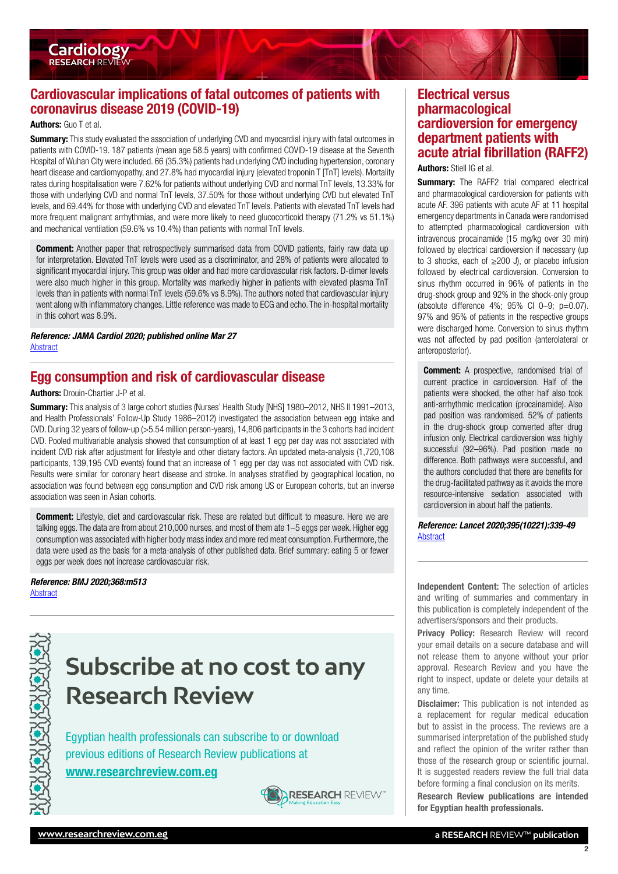# Cardiovascular implications of fatal outcomes of patients with coronavirus disease 2019 (COVID-19)

#### Authors: Guo T et al.

<span id="page-1-0"></span>**Cardiology RESEARCH REVIEW** 

**Summary:** This study evaluated the association of underlying CVD and myocardial injury with fatal outcomes in patients with COVID-19. 187 patients (mean age 58.5 years) with confirmed COVID-19 disease at the Seventh Hospital of Wuhan City were included. 66 (35.3%) patients had underlying CVD including hypertension, coronary heart disease and cardiomyopathy, and 27.8% had myocardial injury (elevated troponin T [TnT] levels). Mortality rates during hospitalisation were 7.62% for patients without underlying CVD and normal TnT levels, 13.33% for those with underlying CVD and normal TnT levels, 37.50% for those without underlying CVD but elevated TnT levels, and 69.44% for those with underlying CVD and elevated TnT levels. Patients with elevated TnT levels had more frequent malignant arrhythmias, and were more likely to need glucocorticoid therapy (71.2% vs 51.1%) and mechanical ventilation (59.6% vs 10.4%) than patients with normal TnT levels.

**Comment:** Another paper that retrospectively summarised data from COVID patients, fairly raw data up for interpretation. Elevated TnT levels were used as a discriminator, and 28% of patients were allocated to significant myocardial injury. This group was older and had more cardiovascular risk factors. D-dimer levels were also much higher in this group. Mortality was markedly higher in patients with elevated plasma TnT levels than in patients with normal TnT levels (59.6% vs 8.9%). The authors noted that cardiovascular injury went along with inflammatory changes. Little reference was made to ECG and echo. The in-hospital mortality in this cohort was 8.9%.

*Reference: JAMA Cardiol 2020; published online Mar 27* [Abstract](https://jamanetwork.com/journals/jamacardiology/fullarticle/10.1001/jamacardio.2020.1017)

### Egg consumption and risk of cardiovascular disease

#### Authors: Drouin-Chartier J-P et al.

Summary: This analysis of 3 large cohort studies (Nurses' Health Study [NHS] 1980–2012, NHS II 1991–2013, and Health Professionals' Follow-Up Study 1986–2012) investigated the association between egg intake and CVD. During 32 years of follow-up (>5.54 million person-years), 14,806 participants in the 3 cohorts had incident CVD. Pooled multivariable analysis showed that consumption of at least 1 egg per day was not associated with incident CVD risk after adjustment for lifestyle and other dietary factors. An updated meta-analysis (1,720,108 participants, 139,195 CVD events) found that an increase of 1 egg per day was not associated with CVD risk. Results were similar for coronary heart disease and stroke. In analyses stratified by geographical location, no association was found between egg consumption and CVD risk among US or European cohorts, but an inverse association was seen in Asian cohorts.

**Comment:** Lifestyle, diet and cardiovascular risk. These are related but difficult to measure. Here we are talking eggs. The data are from about 210,000 nurses, and most of them ate 1–5 eggs per week. Higher egg consumption was associated with higher body mass index and more red meat consumption. Furthermore, the data were used as the basis for a meta-analysis of other published data. Brief summary: eating 5 or fewer eggs per week does not increase cardiovascular risk.

*Reference: BMJ 2020;368:m513*



# **Subscribe at no cost to any Research Review**

Egyptian health professionals can subscribe to or download previous editions of Research Review publications at

### [www.researchreview.com.eg](http://www.researchreview.com.eg)



# Electrical versus pharmacological cardioversion for emergency department patients with acute atrial fibrillation (RAFF2)

Authors: Stiell IG et al.

**Summary:** The RAFF2 trial compared electrical and pharmacological cardioversion for patients with acute AF. 396 patients with acute AF at 11 hospital emergency departments in Canada were randomised to attempted pharmacological cardioversion with intravenous procainamide (15 mg/kg over 30 min) followed by electrical cardioversion if necessary (up to 3 shocks, each of  $\geq 200$  J), or placebo infusion followed by electrical cardioversion. Conversion to sinus rhythm occurred in 96% of patients in the drug-shock group and 92% in the shock-only group (absolute difference  $4\%$ ;  $95\%$  CI 0-9;  $p=0.07$ ). 97% and 95% of patients in the respective groups were discharged home. Conversion to sinus rhythm was not affected by pad position (anterolateral or anteroposterior).

**Comment:** A prospective, randomised trial of current practice in cardioversion. Half of the patients were shocked, the other half also took anti-arrhythmic medication (procainamide). Also pad position was randomised. 52% of patients in the drug-shock group converted after drug infusion only. Electrical cardioversion was highly successful (92–96%). Pad position made no difference. Both pathways were successful, and the authors concluded that there are benefits for the drug-facilitated pathway as it avoids the more resource-intensive sedation associated with cardioversion in about half the patients.

*Reference: Lancet 2020;395(10221):339-49* **[Abstract](https://www.thelancet.com/journals/lancet/article/PIIS0140-6736(19)32994-0/fulltext)** 

Reference: BMJ 2020;368:M513<br>[Abstract](https://www.bmj.com/content/368/bmj.m513) Independent Content: The selection of articles and writing of summaries and commentary in this publication is completely independent of the advertisers/sponsors and their products.

> Privacy Policy: Research Review will record your email details on a secure database and will not release them to anyone without your prior approval. Research Review and you have the right to inspect, update or delete your details at any time.

> Disclaimer: This publication is not intended as a replacement for regular medical education but to assist in the process. The reviews are a summarised interpretation of the published study and reflect the opinion of the writer rather than those of the research group or scientific journal. It is suggested readers review the full trial data before forming a final conclusion on its merits.

> Research Review publications are intended for Egyptian health professionals.

2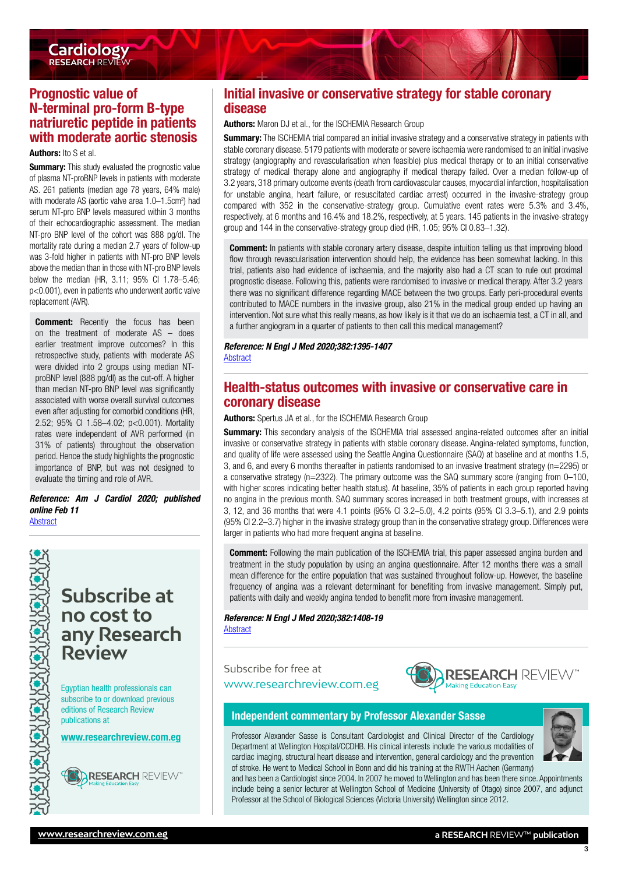<span id="page-2-0"></span>

# Prognostic value of N-terminal pro-form B-type natriuretic peptide in patients with moderate aortic stenosis

#### Authors: Ito S et al.

**Summary:** This study evaluated the prognostic value of plasma NT-proBNP levels in patients with moderate AS. 261 patients (median age 78 years, 64% male) with moderate AS (aortic valve area 1.0–1.5cm<sup>2</sup>) had serum NT-pro BNP levels measured within 3 months of their echocardiographic assessment. The median NT-pro BNP level of the cohort was 888 pg/dl. The mortality rate during a median 2.7 years of follow-up was 3-fold higher in patients with NT-pro BNP levels above the median than in those with NT-pro BNP levels below the median (HR, 3.11; 95% CI 1.78–5.46; p<0.001), even in patients who underwent aortic valve replacement (AVR).

**Comment:** Recently the focus has been on the treatment of moderate AS – does earlier treatment improve outcomes? In this retrospective study, patients with moderate AS were divided into 2 groups using median NTproBNP level (888 pg/dl) as the cut-off. A higher than median NT-pro BNP level was significantly associated with worse overall survival outcomes even after adjusting for comorbid conditions (HR, 2.52; 95% CI 1.58–4.02; p<0.001). Mortality rates were independent of AVR performed (in 31% of patients) throughout the observation period. Hence the study highlights the prognostic importance of BNP, but was not designed to evaluate the timing and role of AVR.

*Reference: Am J Cardiol 2020; published online Feb 11* [Abstract](https://ajconline.org/retrieve/pii/S0002914920301119)



# **Subscribe at no cost to any Research Review**

Egyptian health professionals can subscribe to or download previous editions of Research Review publications at

[www.researchreview.com.eg](http://www.researchreview.com.eg)



**ARESEARCH** REVIEW

# Initial invasive or conservative strategy for stable coronary disease

#### Authors: Maron DJ et al., for the ISCHEMIA Research Group

**Summary:** The ISCHEMIA trial compared an initial invasive strategy and a conservative strategy in patients with stable coronary disease. 5179 patients with moderate or severe ischaemia were randomised to an initial invasive strategy (angiography and revascularisation when feasible) plus medical therapy or to an initial conservative strategy of medical therapy alone and angiography if medical therapy failed. Over a median follow-up of 3.2 years, 318 primary outcome events (death from cardiovascular causes, myocardial infarction, hospitalisation for unstable angina, heart failure, or resuscitated cardiac arrest) occurred in the invasive-strategy group compared with 352 in the conservative-strategy group. Cumulative event rates were 5.3% and 3.4%, respectively, at 6 months and 16.4% and 18.2%, respectively, at 5 years. 145 patients in the invasive-strategy group and 144 in the conservative-strategy group died (HR, 1.05; 95% CI 0.83–1.32).

**Comment:** In patients with stable coronary artery disease, despite intuition telling us that improving blood flow through revascularisation intervention should help, the evidence has been somewhat lacking. In this trial, patients also had evidence of ischaemia, and the majority also had a CT scan to rule out proximal prognostic disease. Following this, patients were randomised to invasive or medical therapy. After 3.2 years there was no significant difference regarding MACE between the two groups. Early peri-procedural events contributed to MACE numbers in the invasive group, also 21% in the medical group ended up having an intervention. Not sure what this really means, as how likely is it that we do an ischaemia test, a CT in all, and a further angiogram in a quarter of patients to then call this medical management?

#### *Reference: N Engl J Med 2020;382:1395-1407* **[Abstract](https://www.nejm.org/doi/10.1056/NEJMoa1915922)**

## Health-status outcomes with invasive or conservative care in coronary disease

Authors: Spertus JA et al., for the ISCHEMIA Research Group

**Summary:** This secondary analysis of the ISCHEMIA trial assessed angina-related outcomes after an initial invasive or conservative strategy in patients with stable coronary disease. Angina-related symptoms, function, and quality of life were assessed using the Seattle Angina Questionnaire (SAQ) at baseline and at months 1.5, 3, and 6, and every 6 months thereafter in patients randomised to an invasive treatment strategy (n=2295) or a conservative strategy (n=2322). The primary outcome was the SAQ summary score (ranging from 0–100, with higher scores indicating better health status). At baseline, 35% of patients in each group reported having no angina in the previous month. SAQ summary scores increased in both treatment groups, with increases at 3, 12, and 36 months that were 4.1 points (95% CI 3.2–5.0), 4.2 points (95% CI 3.3–5.1), and 2.9 points (95% CI 2.2–3.7) higher in the invasive strategy group than in the conservative strategy group. Differences were larger in patients who had more frequent angina at baseline.

**Comment:** Following the main publication of the ISCHEMIA trial, this paper assessed angina burden and treatment in the study population by using an angina questionnaire. After 12 months there was a small mean difference for the entire population that was sustained throughout follow-up. However, the baseline frequency of angina was a relevant determinant for benefiting from invasive management. Simply put, patients with daily and weekly angina tended to benefit more from invasive management.

#### *Reference: N Engl J Med 2020;382:1408-19* [Abstract](https://www.nejm.org/doi/10.1056/NEJMoa1916370)

### Subscribe for free at [www.researchreview.com.eg](http://www.researchreview.com.eg)



#### Independent commentary by Professor Alexander Sasse

Professor Alexander Sasse is Consultant Cardiologist and Clinical Director of the Cardiology Department at Wellington Hospital/CCDHB. His clinical interests include the various modalities of cardiac imaging, structural heart disease and intervention, general cardiology and the prevention of stroke. He went to Medical School in Bonn and did his training at the RWTH Aachen (Germany)



3

and has been a Cardiologist since 2004. In 2007 he moved to Wellington and has been there since. Appointments include being a senior lecturer at Wellington School of Medicine (University of Otago) since 2007, and adjunct Professor at the School of Biological Sciences (Victoria University) Wellington since 2012.